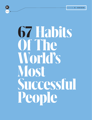

# **67 Habits Of The World's Most Successful People**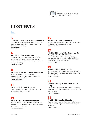

# **CONTENTS**

### 3

#### **12 Habits Of The Most Productive People**

You know those super-productive people who manage to get more done than the rest of us? These are their secrets. **GWEN MORAN**

### 6

#### **4 Habits Of Punctual People**

Those people who are always on time? How to they do it? If you are part of the 20% of Americans who are chronically late, get ready to change everything.

**STEPHANIE VOZZA**

### 8

#### **6 Habits of The Best Conversationalists**

Becoming a good conversationalist requires having a certain set of skills in your communication toolbox.

**STEPHANIE VOZZA**

### 11

#### **7 Habits Of Optimistic People**

Happy people live longer and feel better. But how do they stay so upbeat? **STEPHANIE VOZZA**

### 13

#### **7 Habits Of Self-Made Millionaires**

Most millionaires made their money without a trust fund or inheritance. Here are the habits that helped get them there.

**STEPHANIE VOZZA**

#### 15 **6 Habits Of Ambitious People**

Ambition isn't a dirty word. Channeled correctly, it's the motivator to a satisfying life. **STEPHANIE VOZZA**

### 17

#### **6 Habits Of People Who Know How To Bring Out The Best In Others**

As a leader, the most important part of your job isn't your results. Your job is to inspire your employees' results. Here's how. **STEPHANIE VOZZA**

### 19

#### **6 Habits Of Confident People**

Fearless children often turn into insecure adults. How do people manage to stay confident in the face of failure?

**STEPHANIE VOZZA**

### 21

#### **6 Habits Of People Who Make Friends Easily**

The secret to making new friends is as simple as being open to it. Here are things you can do to fill your calendar.

**STEPHANIE VOZZA**

### 24

#### **7 Habits Of Organized People**

Organized people aren't born; they're built. Here are the habits that you can cultivate to be just like them.

**STEPHANIE VOZZA**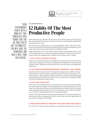

" H I G H P F R F O R M A N C F **STARTS WITH MIND-SFT THAT** TRANSI ATES INTO THINGS THAT YOU DO ONGE YOU'VE GOT THE MIND-SET. YOU WILL HAVE THE BEHAVIORS, AND THEN IT WILL TURN INTO ACTION."

#### **BY GWEN MORAN**

# **12 Habits Of The Most Productive People**

Some people just get stuff done. By the time most are pouring their second cup of joe, these super-achievers have been to Crossfit, hit inbox zero, and nailed the rough draft of that report due next week.

How do they do it? Actually, you can, too, says Paul Rulkens, author of The Power of Preeminence and president of Netherlands-based Agrippa Consulting International, which works with multinational companies like ExxonMobil and SABIC.

"High performance starts with a mind-set that translates into things that you do. Once you've got the mind-set, you will have the behaviors, and then it will turn into action. Everyone can become a high performer," Rulkens says. They know these 12 things.

#### **1. THEY FOCUS ON WHAT MATTERS**

People who are highly productive have established clear goals and a vision for what they want to achieve long term. They focus on what matters and realize that "80% of what you do doesn't matter," Rulkens says. Instead, they focus on the 20% that does and apply their efforts there.

#### **2. THEY KNOW THE DIFFERENCE BETWEEN "IMPORTANT" AND "URGENT"**

Extremely productive people know that "important and urgent are two different things many things are urgent, and that's usually determined by someone who expects an immediate answer," says professional organizer Alison Kero, founder of ACK Organizing. If you get sidetracked by unimportant urgent issues, you spend your time fighting needless fires instead of getting done what matters.

#### **3. THEY PLAN THEIR DAYS**

When some of the smartest people in the world want to be productive, they attend Robert Pozen's executive education course, Maximizing Your Personal Productivity, at MIT. Pozen, who is the author of Extreme Productivity: Boost Your Results, Reduce Your Hours, is himself a highly productive person. He writes and speaks, teaches courses, and holds a post as a fellow at the Brookings Institution, among other things.

To stay on track, he says he is meticulous about planning his to-do items around his appointments and then setting goals for what he wants to get out of each appointment to ensure those meetings are worthwhile.

#### **4. THEY KNOW WHERE TO FIND WHAT THEY NEED WHEN THEY NEED IT**

You don't have to have a pristine desktop or 27 organization apps, but you do have to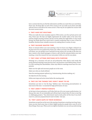

have a system that lets you find the information and files you need when you need them, Pozen says. He keeps files on each of his courses so he can easily access them and adds relevant news to each file as he comes across it. That way, he can update his courses with the most current events.

#### **5. THEY HAVE SET ROUTINES**

When you make the more mundane aspects of life routine, you free up brain power and time, Pozen says. His days are highly regimented. He usually wakes at the same time and has simple morning routines. He lays out his clothes the night before. It may sound boring, but think about how much time is wasted wondering what to wear or have for breakfast. Reclaim those valuable resources by making them a routine, he says.

#### **6. THEY SALVAGE WASTED TIME**

Those 10 minutes before your next meeting or the two hours your flight is delayed can be great news for your productivity, Pozen says. When you keep a list of things that need to be done, you can quickly scan it and pick out the actions you can take in the time you have. Answer a few email messages or return a call in the few minutes before your next meeting, or start the research for your next project while you wait for your plane.

#### **7. THEY ONLY ATTEND MEETINGS WITH PURPOSE**

Meetings are a necessary evil and can aid productivity when they're used wisely. But poorly planned meetings waste precious time, says business coach Melissa Mizer, founder of the coaching firm MoreSeekers. Mizer says effective meetings must have five components:

Make sure the right and necessary people are in the room.

Make sure roles are clearly defined.

State the meeting purpose upfront (e.g., brainstorming, decision making, etc.)

Set objectives for the meeting.

Define next steps and action items before the meeting ends.

#### **8. THEY DO THE THINGS THEY DON'T WANT TO DO**

Sometimes you have to "eat the frog," Rulkens says. Overcoming procrastination—at least most of the time—is essential for high performance, he says.

#### **9. THEY AREN'T PERFECTIONISTS**

At the heart of procrastination, you'll often find one of its root causes: perfectionism. Let that go, Kero says. It's not attainable and will just lead to dread when it's time to start big or challenging projects. "Your desk doesn't need to look perfect all the time if you don't want it to, and your proposal doesn't need 10 drafts," she says.

#### **10. THEY LEAVE GAPS IN THEIR SCHEDULE**

Sometimes you get lost on the way to the meeting. Sometimes a meeting runs long. Sometimes you just need some time to think. Highly productive people leave room for all of these things, Pozen says. When you're too tightly scheduled, you can end up undermining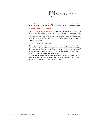

your productivity, because if one thing goes wrong, your schedule could be disrupted for the rest of the day. Give yourself time, which you can always find a way to spend wisely.

#### **11. THEY MULTITASK WISELY**

Pozen bristles at the anti-multitasking research of late. Multitasking is essential for productive people, but you have to choose the activities to pair. You wouldn't write a paper while driving a car, but you might check your email or write a note while you're on a call. "The tasks should be complementary in the sense that usually, one task is much more important than the other, and the other one can be done with a limited amount of energy and diversion," he says.

#### **12. THEY QUIT STRATEGICALLY**

Think high performers are the "quitters never win" types? Wrong, says Rulkens. Winners quit all the time—they're just more thoughtful about it. Strategic quitting means ditching the things that you shouldn't or don't want to be doing because they aren't worth your time, or delegating those things that can be done more cost effectively or efficiently by someone else. And that does more than free up time.

"I work with high-performance organizations. Whenever we do a workshop on quitting what it is we're not going to do—you see a lot of energy being released, and that energy is then focused on new things that really matter," he says.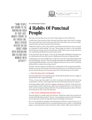

"SOME PEOPLE ARE DRAWN TO THE **ANRENALINE RUSH** OF THAT LAST-**MINUTE SPRINT TO** THE FINISH LINE WHII F NTHFRS REGEIVE AN EGO BOOST FROM **OVER-SCHEDULING** AND FILLING FACH **MOMENT WITH ARTIVITY** "

#### **BY STEPHANIE VOZZA**

# **4 Habits Of Punctual People**

Plan any event and chances are one in five of the people you invite will be late.

A study done at San Francisco State University found that about 20% of the U.S. population is chronically late–but it's not because they don't value others' time. It's more complicated than that, says lead researcher Diana DeLonzor.

"Repetitive lateness is more often related to personality characteristics such as anxiety or a penchant for thrill-seeking," she says. "Some people are drawn to the adrenaline rush of that last-minute sprint to the finish line, while others receive an ego boost from over-scheduling and filling each moment with activity."

In her book Never Be Late Again: 7 Cures for the Punctually Challenged, DeLonzor says our relationship with time often starts in childhood and becomes an ingrained habit.

"Looking back, you were probably late or early all of your life–it's part physiological and part psychological," she says. "Most chronically late people truly dislike being late, but it's a surprisingly difficult habit to overcome. Telling a late person to be on time is a little like telling a dieter to simply stop eating so much."

DeLonzor says the majority of people have a combination of late and punctual habits– usually on time, but with a frantic rush at the last minute–but we can all learn from those who are chronically punctual. DeLonzor shares four traits that always on time share:

#### **1. THEY'RE REALISTIC THINKERS.**

Punctual people know how long things take. Chronically late people, however, engage in what DeLonzor calls "magical thinking."

"If once, 10 years ago, they made it to work in 20 minutes, they believe that's how long it should take," she says. "They forget about the 99% of the times that took 30 minutes."

To develop realistic habits, DeLonzor suggests relearning to tell time. Write down how long you think it takes to shower, get ready in the morning and drive to work. Then for a week, track how long those things really take. Chronically late people are often off of their time estimates by 25% to 30%, says DeLonzor.

#### **2. THEY GIVE THEMSELVES BUFFER TIME.**

Punctual people are usually early, says DeLonzor. "Being late makes them stressed out and they don't like feeling rushed," she says. "Late people get stressed out from being late, too, but they don't strive to be early; they tend to time things to the minute."

For a 9 a.m. meeting, for example, a punctual person would try to arrive by 8:45 a.m. or 8:50 a.m., allowing enough time for an unexpected delay, such as traffic or a full parking garage. A punctual person reviews directions online, checks traffic reports before leav-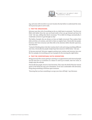

ing, and some will even drive to an new location the day before to understand the route. To be punctual, plan to arrive early.

#### **3. THEY'RE ORGANIZED.**

DeLonzor says that 45% of everything we do on a daily basis is automatic: "Our lives are filled with habits–from the way you brush teeth to how you get dressed and leave for work," she says, adding that they're necessary. "If we didn't do things automatically, it would take us forever to get through our day."

The habits of people who are always on time are highly structured. They analyze their daily activities, set routines, and stick to them on regular basis. Chronically late people, however, don't have structure and often fall on the attention deficit disorder spectrum, says DeLonzor.

"Instead of thinking about why their routines don't work and trying something different next time, chronically late people simply hope that tomorrow will be better," she says.

To become punctual, DeLonzor suggests putting more routines and structure into your life. For example, do everything you can to prepare for the morning the night before.

#### **4. THEY'RE COMFORTABLE WITH DOWNTIME.**

Being punctual often means getting to meeting or an appointment early. Punctual people use the extra five or 10 minutes as a chance to catch up on emails, read over notes, or simply enjoy the solitude.

Chronically late people, however, hate downtime. They enjoy the thrill of that last-minute sprint to the finish line and crave stimulation. To be more comfortable with downtime, bring along something to fill those spare moments.

"Knowing that you have something to occupy your time will help," says DeLonzor.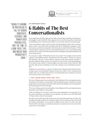

" G O O G L E ' S C H R O M E IN PARTICULAR IS FULL OF HIDDEN SHORTCUTS. **FEATURES, AND** PNWFR-USFR POSSIBILITIES TAKE THE TIME TO LEARN THESE TIPS. AND WATCH YOUR PRODUCTIVITY SOAR."

#### **BY STEPHANIE VOZZA**

# **6 Habits of The Best Conversationalists**

Some people have the gift of gab, and can talk to anyone about anything. And some people struggle to make small talk. What separates the two isn't knowing what to talk about; it's polishing up your communication skills so you can keep a good conversation going.

"Good conversations require a give and take, just like keeping a ball in the air during a game of catch," says Anne Green, president and CEO of CooperKatz & Company, a communications and media-training firm with clients that include Richard Branson. "When someone directs a question your way–when the ball is thrown to you–you should always respond with an answer that will continue the flow of dialogue, passing the ball back and never letting it drop."

If a musician is asked, "What kind of music do you play?" for example, Green says the response "many different kinds" will shut down the conversation. "The key is to answer and elaborate," she says. "A more effective response to that same question would be, 'I play many different kinds of music, but I spent my early twenties in the South playing a lot of country music, which I've since brought to my music career in New York City.' That gives the other person something to work with, creating a more stimulating conversation."

Thinking of a conversation as a game of verbal tennis will keep things flowing, but becoming a good conversationalist requires having more skills in your communication toolbox. Here are six habits that the best conversationalists have mastered to practice every time you enter a new situation.

#### **1. THEY LISTEN MORE THAN THEY TALK**

The irony of being a good conversationalist is that talking isn't the most important piece; listening is what makes you memorable. Unfortunately, listening is a skill that not many people master; most people would rather talk, said Celeste Headlee, host of Georgia Public Broadcasting's On Second Thought.

"The irony of being a good conversationalist is that talking isn't the most important piece; listening is what makes you memorable."

"When I'm talking, I'm in control. I don't have to hear anything I'm not interested in. I'm the center of attention. I can bolster my own identity," she said in a 2015 TED Talk called "10 Ways to Have a Better Conversation."

The other reason we'd rather talk is because it's easy to get distracted when we listen. The average person talks at about 225 words per minute, but we can listen at up to 500 words per minute, said Headlee. "So our minds are filling in those other 275 words," she said. "It takes effort and energy to actually pay attention to someone, but if you can't do that, you're not in a conversation."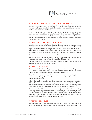

#### **2. THEY DON'T ALWAYS INTERJECT THEIR EXPERIENCES**

Good conversationalists don't interject themselves into the topic when it's not needed. If someone is talking about having lost a family member, don't start talking about the time you lost a family member, said Headlee.

"If they're talking about the trouble they're having at work, don't tell them about how much you hate your job. It's not the same," she said. "It is never the same. All experiences are individual. And, more importantly, it is not about you. You don't need to take that moment to prove how amazing you are or how much you've suffered. Conversations are not a promotional opportunity."

#### **3. THEY ADMIT WHAT THEY DON'T KNOW**

A good conversationalist isn't afraid to show they don't understand, says Mark Levy, president of the branding firm Levy Innovation and author of Accidental Genius: Using Writing to Generate Your Best Ideas, Insight and Content. "So many people shoot themselves in the foot, because they're trying to come across as all-knowing or perfect, but letting the other person in on your lack of understanding can actually be flattering to them," he says.

"Conversations are not a promotional opportunity."

If you're confused, Levy suggests asking, "I want to make sure I really understand what you mean. Can you say what you just said in a slightly different way?"

"Not only will the other person feel heard; they'll likely love having to explain their point in a way that's different than normal," he says.

#### **4. THEY ARE WELL READ**

Be a person of interest by reading and informing yourself on a variety of topics from world affairs to business and culture, says Suzanne Bates, author of All the Leader You Can Be, the Science of Achieving Extraordinary Executive Presence.

"Be bold in getting beyond pleasantries to introduce high interest topics likely to enliven a conversation," she says. "Be attuned to each person to meet them where they are and be curious about their views."

Being well read allows you to introduce ideas and stories from other domains, adds Levy. "When a businessperson wants to make a point in conversation, they'll often rely on an idea, opinion, or story from the world of business," he says. "After a while that gets old. We've all heard the same business stories, and we start to mentally check out."

Good conversationalists "seed a conversation with jolts," says Levy. "If you're talking about, say, workplace productivity, it's fine to talk about [the Civil War battle] Pickett's Charge or black holes or an idea from an Elizabeth Gilbert book that, in some way, relates to workplace productivity. Bringing in ideas from other domains keeps people awake and interested, and it's actually how paradigm shifts are born."

#### **5. THEY LOOK FOR CUES**

Good conversationalists listen with their eyes, looking for body language or changes in mood that provide information about the other person's interest level in the conversa-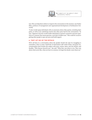

tion. This can help them redirect or improve the conversation in the moment, says Parker Ellen, professor of management and organizational development at Northeastern University.

"It also would equip individuals with an awareness about other parties, including their goals, as well as any underlying motives the other party had for the conversation," he says. "Apparent sincerity would enable individuals to present comments and pose questions in a manner that seems genuine, such that it builds trust." This could be crucial to getting other people to open up more and build rapport.

#### **6. THEY LET GO OF THE DETAILS**

We've all been in a conversation where the speaker derails the topic by struggling to remember a date or name. Small bits of information add verbal clutter, and good conversationalists don't burden the subject with years, names, dates, and tiny details, said Headlee. "[The listener doesn't] care," she said. "What they care about is you. They care about what you're like, what you have in common. So forget the details. Leave them out."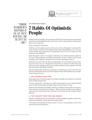

" C O M B I N E OPTIMISM WITH ACCEPTANCE OF THE LIFE YOU'VE BEEN DEALT, AND THE SKY'S THE **LIMIT**"

#### **BY STEPHANIE VOZZA**

# **7 Habits Of Optimistic People**

Optimists aren't just people who see the glass half full. They also make more money than pessimists and enjoy health benefits such as fewer colds, a reduced risk of cardiovascular disease, and a longer life.

That's something to smile about.

"Children are born optimists and over the course of time, life happens," says Jason Wachob, cofounder and CEO of the healthy living website MindBodyGreen.com. "Circumstances change and cynicism sets in, but deep down most of us want to get back to the optimism of our childhood."

David Mezzapelle, author of Contagious Optimism, has studied optimistic people for five years: "Some people are naturally more optimistic," he says. "I believe, however, that somebody who is negative or pessimistic can control it and improve upon it."

Optimism isn't a pie-in-the-sky ideal, says Mezzapelle. "It's not closing your eyes and being in the clouds," he says. "People often tell me they're a realist, but reality alone may prevent you from getting past first base. Combine optimism with acceptance of the life you've been dealt, and the sky's the limit."

Like any healthy habit, Wachob says optimism is something you need to practice every day. He and Mezzapelle share seven traits optimists share and the habits you can implement to become one, too:

#### **1. THEY EXPRESS GRATITUDE**

Being appreciative of big blessings isn't enough; Mezzapelle says optimists are grateful for the smallest things in life.

"The sun coming up in morning, your child or dog excited to see you–being thankful about the littlest thing makes the bigger things that much better," he says.

Optimists also find good in hardships, obstacles, and failures, because these are the situations that give you strength and resilience: "When optimists stumble across problems, it doesn't seem as bad because they've learned to always find the silver linings," Mezzapelle says.

#### **2. THEY DONATE THEIR TIME AND ENERGY**

Whether it's helping at the local soup kitchen or being available to people you know, Wachob says giving back is a habit optimistic people practice.

"This helps you feel grateful for what you have," he says. "It's a good place to start if you want to become more optimistic."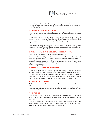

Mezzapelle agrees: "No matter what you're going through, you need to be good to others and help when you can," he says. "The spirit of altruism can make you feel optimistic about your own life."

#### **3. THEY'RE INTERESTED IN OTHERS**

When people hear the stories of how others persevere, it fosters optimism, says Mezzapelle.

"People often think they're alone in their struggles, such as divorce, cancer, or financial problems," he says. "When they hear about people who've experienced the same thing and came out on the sunny side, it can give them hope, and hope is the foundation of optimism."

Wachob says simply reading inspirational stories can help. "This is something everyone can do on a daily basis," he says. "There are so many amazing stories about amazing people who overcome incredible odds."

#### **4. THEY SURROUND THEMSELVES WITH UPBEAT PEOPLE**

You are the sum of the people you spend time with, says Wachob.

"If you are with pessimists, every time you hang out with them it can be draining. If you're with optimists, however, it's easy to absorb that energy and it can be powerful."

Mezzapelle likes a phrase coined by Olympic gymnast Mary Lou Retton: "Optimism is a happiness magnet." "It's true," he says. "When you're around people who are positive and upbeat, it brings you up."

#### **5. THEY DON'T LISTEN TO NAYSAYERS**

What other people do or say is a reflection of their own reality, not yours, says Mezzapelle. Optimistic people don't take the opinions of others too seriously when they don't agree.

This means not listening to the naysayers who will tell you that you can't achieve your goals: "You can disagree with other opinions–that's the beauty of life," Mezzapelle says. "Don't look at it any other way and don't let it affect you. It's their reality, not yours."

#### **6. THEY FORGIVE OTHERS**

While this can be easier said than done, Mezzapelle says optimists have an ability to forgive.

"The easiest way to forgive is to reflect on the fact that the past is the past," he says. "Make peace with it so that it doesn't spoil the present."

#### **7. THEY SMILE**

Smiling creates a happy environment that draws others in, says Mezzapelle, and happiness, even in brief doses, releases serotonin, a hormone that contributes to the feeling of well-being.

Smiling also has health benefits; a study from the University of Kansas found that cracking a smile–even when you don't feel like it–reduces the intensity of the body's stress response, regardless of whether a person actually feels happy.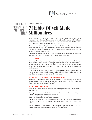

### "YOUR HABITS ARE THE REASON WHY YOU'RE RICH OR POOR."

#### **BY STEPHANIE VOZZA**

# **7 Habits Of Self-Made Millionaires**

Most millionaires aren't born; they're self-made. In a survey by Fidelity Investments, approximately 80% of people who have a net worth of \$1 million or more did it without a trust fund or inheritance. As the classic Smith Barney commercial from the '70s used to say, "They make money the old-fashioned way . . . they earn it."

They also have habits that help them accumulate wealth: "Your habits are the reason why you're rich or poor," says Tom Corley, author of Rich Habits: The Daily Success Habits of Wealthy Individuals. "In fact, it's often two or three habits that separate the wealthy from those who are financially challenged."

Corley has studied millionaires for 12 years, and says many of them share the same daily practices and beliefs. Here are seven habits of self-made millionaires:

#### **1. THEY READ**

Self-made millionaires are readers, and Corley says this is the number one habit to adopt if you want to become wealthy. According to his study, 85% of millionaires read two or more books a month, and they choose books that help them grow, including topics like careers, biographies of successful people, self-help, health, current events, psychology, and leadership.

"The key to success in life is growing your knowledge base and skills," says Corley. "Devote 30 minutes or more each day to learning by reading books. If you do, it will set you apart from the competition, as most people do not read."

#### **2. THEY PURSUE THINGS THAT INTEREST THEM**

People often enter careers for the stability factor, but wealthy people pursue their interests. "They put their ladder on their own wall," says Corley. "When you're passionate about what you're doing, you work harder. "

#### **3. THEY FIND A MENTOR**

Ninety-three percent of self-made millionaires in Corley's study attribute their wealth to having mentors.

"Finding a success mentor in life is one of the least painful ways to become rich," says Corley. "It can put you on the fast track to success."

Corley says there are five types of success mentors:

Parents. Parenting is very important when it comes to being a millionaire. Parents are your first mentors. If they teach children good daily success habits, they'll struggle less in life.

Teachers. Teachers can reinforce the mentoring children receive at home from their parents, or step in to provide the success mentoring absent at home.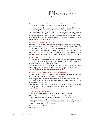

Career Mentors. Finding a mentor at work you admire, trust, and respect can lead to success in life. Choose someone at least two levels above your rank.

Book Mentors. Mentors don't have to be real relationships. Sometimes the best source are found in books, particularly books about successful people, says Corley.

Yourself. Also called "the school of hard knocks," you can mentor yourself by learning from your own mistakes. "This is the hard path to success, because those mistakes and failures carry significant costs in both time and money," says Corley. "But this is also the most powerful type of mentoring you can get, because the lessons you learn are infused with intense emotion and never forgotten."

#### **4. THEY USE DREAMS TO SET GOALS**

Before millionaires identify goals, they do something that Corley calls "dream setting"they write down what their ideal life would look like, then use this script to create a bullet-point list of dreams. Goals are then built around each dream.

"Think of dreams as a ladder, and the rungs are your goals," he says. "Ask yourself, 'What would I need to do in order for each wish or dream to come true? Am I capable of performing those activities? And do I have the necessary skills and knowledge? Then take action."

#### **5. THEY WRITE TO-DO LISTS**

Goals are only goals when they have two things: 100% achievability and physical activity, says Corley. Millionaires break down goals into physical action steps that make up their to-do list, and many have lists that follow a habit.

"Millionaires process success," says Corley. "When you create processes, you don't have to think, which takes energy and contributes to decision fatigue. Habits are valuable because they brain fuel that can be used doing something else."

#### **6. THEY CREATE MULTIPLE STREAMS OF INCOME**

Self-made millionaires do not rely on only a single source of income, says Corley. Instead, they develop multiple streams, and most have at least three.

"Sixty-five percent had three or more streams of income that they created over time," he says. "Diversifying your sources of income allows you to weather the economic downturns that always occur in life."

Revenue streams include real estate rentals, stock market investments, annuities, private equity investments, part ownership in side businesses, ancillary products, or services, and royalties.

#### **7. THEY AVOID TIME WASTERS**

Millionaires believe money can be recouped, but the bigger risk is wasting time.

"When we invest our time in anything, it's lost forever," says Corley. "Yet, because we are all given what seems to be an abundance of time, it has very little value to us."

Sixty-seven percent of the self-made millionaires in Corley's study watch less than an hour of TV each day, and 63% spent less than an hour a day on the Internet in activities such as Facebook or watching YouTube videos.

"This freed up time for them to pursue their dreams, goals, read, learn, exercise, volunteer, and network," he says.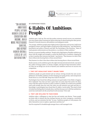

"ON AVERAGE. **AMBITIOUS** PEOPLE ATTAIN HIGHER LEVELS OF E DUCATION AND INCOME, BUILD MORE PRESTIGIOUS CAREERS. AND REPORT HIGHER OVERALL LEVELS OF LIFE SATISFACTION."

# **BY STEPHANIE VOZZA**

# **6 Habits Of Ambitious People**

Ambition gets a bad rap. The trait that pushes someone toward success can sometimes turn into a game where winning isn't about achieving; it's about beating the other person. Channel it correctly, however, and ambition can bring great results.

"On average, ambitious people attain higher levels of education and income, build more prestigious careers, and report higher overall levels of life satisfaction," says Neel Burton, psychiatrist and author of Heaven and Hell: The Psychology of the Emotions. "Many of man's greatest achievements are the products, or accidents, of their ambition."

The key is to pursue healthy ambition: "People with a high degree of healthy ambition are those with the insight and strength to control the blind forces of ambition, shaping [it] so that it matches their interests and ideals," says Burton. "They harness it so that it fires them without also burning them or those around them."

They harness it so that it fires them without also burning them or those around them.

Nearly anyone can be ambitious given the right internal and external stimuli, says Jason Ma, author of Young Leaders 3.0: Stories, Insights, and Tips for Next-Generation Achievers. Here are six things you can do to harness your ambition and focus on success over competition:

#### **1. THEY SET GOALS BUT DON'T SHARE THEM**

Ambitious people are goal-oriented and are always striving towards the next accomplishment, but healthy ambition involves keeping your goals private, said entrepreneur Derek Sivers in a 2010 TED Talk "Keep Your Goals To Yourself."

Psychologists have found that telling someone your goal makes it less likely to happen, Siver explained: "Any time you have a goal, there are some steps that need to be done, some work that needs to be done in order to achieve it. Ideally you would not be satisfied until you'd actually done the work. But when you tell someone your goal and they acknowledge it, psychologists have found that it's called a 'social reality.' The mind is kind of tricked into feeling that it's already done. And then because you've felt that satisfaction, you're less motivated to do the actual hard work necessary," Siver said.

#### **2. THEY ARE WILLING TO TAKE RISKS**

Ambition takes a willingness to step into fear and anxiety, says Burton. "Some people are better able to tolerate this fear, perhaps because are more courageous, committed, or driven, and can minimize the fear," he says. "Ambitious people act with purpose, but allow themselves room to explore, experiment and discover."

Don't be surprised if a breakthrough emerges from a well-managed crisis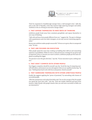

"Don't be surprised if a breakthrough emerges from a well-managed crisis," adds Ma, who is also CEO of ThreeEQ, a firm that mentors high-achieving teenagers and adults. "Ambition is the act of being an innovative change-maker."

#### **3. THEY EXPOSE THEMSELVES TO NEW WAYS OF THINKING**

Ambitious people break away from consistent groupthink, and expose themselves to new ways of thinking.

"Talk with and learn from people different from you," suggests Ma. "Be open to dialogue with acquaintances and even select strangers, as you may uncover interesting opportunities."

Burton says ambition makes people resourceful: "It forces us to grow, often in unexpected ways," he says.

#### **4. THEY ARE FOCUSED ON EXECUTION**

Often people spend the most time working on building their skill set and researching solutions or possibilities. While it's wise to craft and execute a strategy for any given type of important vision or outcome you want to achieve, ambitious people put the main emphasis on pulling the trigger.

"An executer is one who gets shit done," says Ma. "If your execution is poor, nothing matters."

#### **5. THEY DON'T COMPETE WITH OTHER PEOPLE**

Your biggest competitor should be yourself, says Ma. "Avoid the trap of comparing yourself with others, and measure success only against what you are capable of achieving," he says. "Nothing beats hard work with focus and passion. Stretch yourself."

#### **6. THEY SURROUND THEMSELVES WITH OTHER AMBITIOUS PEOPLE**

Finally, Ma suggests applying the "power of proximity" by networking with clusters of successful people.

"[The late entrepreneur and author] Jim Rohn said: 'You are the average of the five people you spend the most time with,'" says Ma. "Find role models. Befriend and learn from mentors. Make friends with people smarter than you and more successful in fields you are interested in."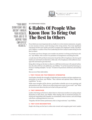

"YOUR MOST **SIGNIFICANT ROLE** DOESN'T INVOLVE YOUR RESULTS; YOUR JOB IS TO **INSPIRE YOU EMPLOYFES** RESILLTS "

#### **BY STEPHANIE VOZZA**

# **6 Habits Of People Who Know How To Bring Out The Best In Others**

If you think your most important job as a leader is to write mission statements, set goals, or even increase revenue, you're focusing on the wrong metrics. Your most significant role doesn't involve your results; your job is to inspire your employees' results, says Richard S. Wellins, co-author of Your First Leadership Job: How Catalyst Leaders Bring Out the Best In Others.

"As a leader your focus changes; your number one priority is to bring out the best in others," says Wellins, who is senior vice president at management consulting firm DDI.

A study done by DDI and Harris Interactive found that 98% of employees who have good leaders are motivated to do their best, while only 11% of employees with ineffective managers felt motivated to give their best.

Being able to bring out the best in others is a skill that involves just 10% natural inclination; the other 90% has to be deliberate, says Wellins: "It can't be learned by listening to a lecture or reading examples," he says. "It needs to be practiced, reinforced, and used day to day."

Here are six of their daily habits:

#### **1. THEY FOCUS ON THE PERSON'S STRENGTHS**

Good leaders identify the strengths of individual team members and give employees opportunities to use them, says Wellins. "They cultivate and optimize others' talents and capabilities," he says.

While some strengths will be obvious, good leaders schedule one-on-one meetings and ask questions such as, "What do you enjoy doing most as part of your work?" and "What do you miss most about the jobs you've had in the past and why?"

#### **2. THEY EMPATHIZE**

Leaders who bring out the best in others listen to what team members are saying and put themselves in their shoes, says Wellins. When dealing with an emotional situation, listening and responding with empathy can immediately reduce tension, and until things calm down, nothing productive can occur.

"Empathy will drive better performance; this is a huge motivator," says Wellins.

#### **3. THEY GIVE RECOGNITION**

People who bring out the best in others also reward and recognize good work. Leaders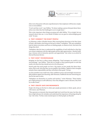

often worry that praise will seem unprofessional or that employees will become complacent or overconfident.

"It isn't and they won't," says Wellins. "It's about making a person feel good about themselves even when they feel challenged or are in tough times.."

This is also important when things are going well, adds Wellins. "It's so simple, but our research shows that one- to two-thirds of leaders are not good at acknowledging good work," he says.

#### **4. THEY CONNECT THE RIGHT PEOPLE**

Liz Wiseman, author of Rookie Smarts: Why Learning Beats Knowing in the New Game of Work, calls leaders who bring out the best in others "multipliers." She says multipliers look for talent everywhere and focus on finding people, at whatever level, who know the things they don't.

"Multipliers take the time to understand the capabilities of each individual so that they can connect employees with the right people and the right opportunities—thereby building a virtuous cycle of attraction, growth, and opportunity," she writes in an article for Harvard Business Review.

#### **5. THEY DON'T MICROMANAGE**

Bringing out the best in others means delegating. "Good managers are careful to not micromanage," says Wellins. "Their job is to assign or direct general goals in work that needs to be done but they should never do it for the person."

Stretch goals that push people can have a big impact on how people feel about themselves, their work, and what they can accomplish, says Wellins. "Appeal to their strengths and give them responsibility and they will achieve their goals," he says.

As team members earn small wins, their confidence grows and seemingly insurmountable problems appear less daunting, adds Wiseman; roadblocks become interesting puzzles for the team to solve.

"Multipliers see themselves as coaches and teachers," writes Wiseman. "These leaders put a high premium on self-sufficiency: Once they delegate a task or decision, they don't try to take it back."

#### **6. THEY CREATE SAFE ENVIRONMENTS**

People who bring out the best in others give people permission to think, speak, and act with reason, says Wiseman.

"They generate an intensity that demands high-level work from the team, but they also have a high tolerance for mistakes and understand the importance of learning along the way," she writes. "So they create mental spaces in which people can flourish."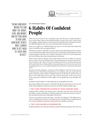

"BEING CONFIDENT **MEANS PEELING** AWAY THE DOUBT, FEAR, AND WORRY, AND GETTING BACK TO OUR CORE. **CONFINENT PEOPLE** HAVE LEARNED HOW TO GET BACK TO THEIR PIIRE SFIVFS."

### **BY STEPHANIE VOZZA 6 Habits Of Confident People**

When my son was four, he wore a superhero cape. All of the time. I vividly remember a trip to Home Depot when he had dressed himself in shorts and a shirt, cowboy boots, swim goggles, gardening gloves, and the cape. Even though he attracted plenty of stares, he walked through the store very sure of himself and his wardrobe choice.

Many of us outgrow our childhood ideals, but why is it we also often leave behind the sense of confidence that accompanied them?

Self-doubt is common–especially in women–and for many the feeling remains constant. A survey of British managers done by the Institute of Leadership and Management in the United Kingdom found that 50% of female respondents and 31% of male respondents don't feel confident about their job performance and careers.

"We're all born with the capacity to be our best selves–to be who we really are," says Jen Sincero, author of You Are a Badass: How to Stop Doubting Your Greatness and Start Living an Awesome Life. "Then we hear the messages that exist in our fear-based society, and we get beaten down. Being confident means peeling away the doubt, fear, and worry, and getting back to our core. Confident people have learned how to get back to their pure selves."

Katty Kay and Claire Shipman, coauthors of The Confidence Code: The Science and Art of Self-Assurance–What Women Should Know, say confidence isn't just an attitude: "We spent a long time trying to define confidence because we felt that it would be easier to grow it if we really knew what is was," they write in their book. "In the end we came to this conclusion: Confidence is life's enabler–it is the quality that turns thoughts into action."

Confidence is life's enabler–it is the quality that turns thoughts into action.

Becoming confident takes practice, calculated risk-taking, and changes in the way you think, say Kay, Shipman, and Sincero. Here are six habits confident people share:

#### **1. THEY PUSH THEMSELVES OUTSIDE OF THEIR COMFORT ZONE**

Nothing builds confidence like taking action, especially when the action involves risk and failure, say Kay and Shipman. Confident people start small and continue to take action until they become more comfortable with the risk.

"Nerves are normal–everyone has them," write Kay and Shipman. "The difference between a confident person and an unconfident person is simply that the confident person acts on their ambitions and desires and doesn't let fear of failure stop them."

#### **2. THEY VIEW FAILURE AS INFORMATION**

Confident people are not immune to failure; instead of letting it stop them, they view it as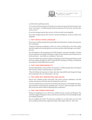

an information-gathering session.

"It's a notch in their belt and proof that they've started moving in the direction they want to go," says Sincero. "Confident people thank the experience for the lesson, and then they course-correct."

It's not the strongest species that survives, it's the one that's most adaptable.

It's not the strongest species that survives, say Kay and Shipman, it's the one that's most adaptable.

#### **3. THEY WATCH THEIR LANGUAGE**

Sincero says confident people don't speak badly about themselves. Instead, they question their self-doubts.

"Instead of believing something is 100% true–such as feeling like a loser–they realize that they bought into something that's not certain and they attach feelings to new belief," she says.

Kay and Shipman call that getting rid of NATS (negative automatic thoughts): "Women are particularly prone to NATS. We think we make one tiny mistake and we dwell on it for hours and hours … and it kills our confidence," they write.

To get rid of NATS, the coauthors suggest reminding yourself of three good things you did for every negative thought you have. Eventually this technique will help you eliminate the tendency to think badly about yourself.

#### **4. THEY TAKE RESPONSIBILITY**

Instead of feeling like a victim of their circumstances, confident people take ownership of their situation and do something about it, says Sincero.

"They don't blame their parents or others, they take responsibility and change the things that are getting in the way of their goals," she says.

#### **5. THEY SEEK OUT INSPIRATION AND ADVICE**

Sincero says confident people read books, take classes, practice meditation, and find coaches and mentors who have done the things they want to do.

"If you're confident then you don't feel weird about showing your vulnerability and opening yourself up to learning from somebody else," she says. "Insecure people stay where they are because they're afraid of admitting their weaknesses."

#### **6. THEY USE POWER POSITIONS**

Sitting up straight gives you a short-term confidence boost, say Kay and Shipman. The coauthors suggest keeping your abs in and chin up, which they call "astonishingly simple yet woefully infrequent."

Also try nodding your head: "You feel more confident as you talk when you do it–and you're sending a subconscious signal that makes others agree with you," they write.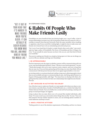

"GET IT OUT OF YOUR HEAD THAT IT'S HARDER TO **MAKF FRIENDS** WHEN YOU'RE OLDER. IT CAN ARTHALLY BE **FASIFR BECAUSE** YOU KNOW WHO YOU ARE, AND WHAT KIND OF FRIEND YOU WOULD LIKE."

#### **BY STEPHANIE VOZZA**

# **6 Habits Of People Who Make Friends Easily**

Friendships are more beneficial than just sharing laughs over a cup of coffee. A lack of strong relationships increases your risk of premature death from all causes by 50%, according to research from Harvard University. That's the same mortality risk as smoking 15 cigarettes a day. If your social life is looking light, it might be time to make some new friends, but it doesn't have to be an intimidating and awkward process.

"Get it out of your head that it's harder to make friends when you're older," says sociologist Jan Yager, author of Friendshifts: The Power of Friendship and How It Shapes Our Lives. "It can actually be easier because you know who you are, and what kind of friend you would like."

The secret to making new friends is as simple as being open to it. Here are six things you can do to fill your calendar and forge new friendships:

#### **1. BE APPROACHABLE**

The first impression sets the stage on whether a person will be communicating with you or not, says psychotherapist Richard E. Toney. "The key is your facial expression," he says. "Think about people who you've seen in grocery stores, airports, and even in long lines that are near you. If you see them grimacing and frowning, you more than likely will not communicate with that person because they do not appear approachable or even nice."

An inviting smile or a courteous head nod could go a long way in allowing people to know that you are available and open to communicating, he says. And being a good listener is a big part of being approachable, adds Yager. "Too many focus on sharing with others, forgetting that they need to be there for their new relationships that might become friends," she says.

#### **2. GET INVOLVED IN ACTIVITIES YOU ENJOY**

One of the best ways to make new friends is to meet people with whom you share a common interest, says John Boese, founder of GoFindFriends.com, a website that helps New Yorkers find new friends. Turn your hobby into a social activity by joining a meetup.com group or social sport league, he suggests.

Going to places that you enjoy allows you to be around like-minded individuals, adds Toney. "It is easy to start up a conversation about things that you like," he says. "Once you find someone who has similar interests to yours, you can exchange phone numbers or email addresses and keep in touch."

#### **3. HAVE A POSITIVE ATTITUDE**

"Feeling positive is one of the absolute requirements of friendship, and how we choose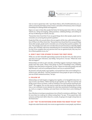

who we want to spend time with," says Shasta Nelson, CEO of GirlFriendCircles.com, an online community that helps connect women, and author of Frientimacy: How to Deepen Friendships for Lifelong Health and Happiness.

Figure out ways to help other people feel better for having spent time with you. Saying "thank you," being encouraging, asking questions, validating feelings, and smiling are all ways of affirming new friends, she says.

"Researchers have found that if you say good things about other people, people tend to remember you as having those positive qualities."

People don't like to be around others who are negative all the time, adds Keith Rollag, author of What to Do When You're New. "Researchers have found that if you say good things about other people, people tend to remember you as having those positive qualities," he says. "For example, if you tell a new coworker that your previous boss is a friendly, helpful person, they will likely walk away remembering you as somewhat friendly and helpful, too. But if you complain that your previous boss was an egotistical jerk, they may see a few of those qualities in you, too."

#### **4. DON'T WAIT FOR OTHERS TO MAKE THE FIRST MOVE**

While you can feel vulnerable approaching someone for the first time, the other person may have even more reluctance, says Rollag. "Just go for it," he says. "What's the worst that can happen?"

Relationships are built on give and take, and Rollag suggests starting by helping other people meet their needs. "Many of the things we want in friendships–trust, reliability, integrity–have their basis in reciprocity," he says. "Figure out what other people want and help them get it, and you've predisposed them to see you as a potential friend."

Be proactive and ask people to get together, or let people know that you're looking for activities to join, adds Boese. "You'll be surprised how many people are open to having you join one of their weekend activities," he says.

#### **5. FOLLOW UP**

Relationships are built largely on logging time together, so be thoughtful about how to stay in touch, says Nelson. "Before leaving one get-together, say, 'This was such fun and I'd like to get to know you better, could we schedule it now and avoid the email back-andforth?'" she suggests. You can also send an email the next day, thanking them for their time, or set a reminder in your calendar for a date they mentioned of something coming up, such as a surgery or birthday, and email them to let them know you're thinking of them.

One of the keys to turning an acquaintance into a friend is consistency, adds Boese. "Don't let more than two weeks go by without seeing them," he says. "If you spend time with someone and then don't talk to them for a month, it's going to be tough to keep them in the friend zone."

#### **6. SAY "YES" TO INVITATIONS (EVEN WHEN YOU WANT TO SAY "NO")**

People who make friends easily view events as opportunities to meet people, says Nelson.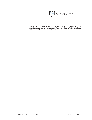

"Remind yourself to choose based on what you value or hope for, not based on how you feel in the moment," she says. "Like exercise, if left to only when we felt like it, we'd often opt for a quiet night in instead of the chance to connect."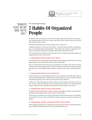

### " O R G A N I Z E D PEOPLE ARE NOT BORN; THEY'RE BUILT."

#### **BY STEPHANIE VOZZA**

# **7 Habits Of Organized People**

We all know that one friend or coworker who is super-organized. The person who is punctual, finishes projects with time to spare, and always knows exactly where to find what they need when they need it.

Instead of hating that person, why not figure out how they do it?

"Organized people are not born; they're built," says John Trosko, founder of OrganizingLA, a Los Angeles-based organizing firm. "The people who emerge as 'organized' use a variety of tools and methods to accomplish their goals and priorities in life."

Their systems become habits, says Trosko. Here are seven things organized people do on a regular basis to stay on top of it all:

#### **1. ORGANIZED PEOPLE SEEK OUT TOOLS**

From kitchen timers to smartphone technology, organized people find tools that can help them make the most of their day, week, and year, says Trosko.

They use mobile phone apps with pop-up reminders, for example. They also use timers to help visualize the passage of time. And they break down tasks into smaller chunks and take short non-work-related breaks in between, which increases their overall productivity.

#### **2. ORGANIZED PEOPLE SET PRIORITIES**

Instead of having an overwhelming number of commitments and little idea where to start, organized people have a clear sense of what's important, says Lisa Zaslow, founder of Gotham Organizers, New York City-based professional organizers.

"They know what their goals are, what needs to be done when, and what can be put off," she says. "They start the day with a clear plan of their 'MITs'–their 'most important things.' And they review their plan throughout the day and adjust as necessary."

#### **3. ORGANIZED PEOPLE HAVE LESS STUFF**

The golden rule of organization is to have as little as possible to organize, says productivity expert Hillary Rettig, author of The 7 Secrets of the Prolific.

"They figure out what the core of their professional and personal missions are and eliminate all else," she says. "They will still have stuff to organize, but they've made the job doable."

#### **4. ORGANIZED PEOPLE CHOOSE SIMPLE SOLUTIONS**

When organizing systems are complex, they often go unused. Trosko says organized people use simple tools that make an easy job of putting things away.